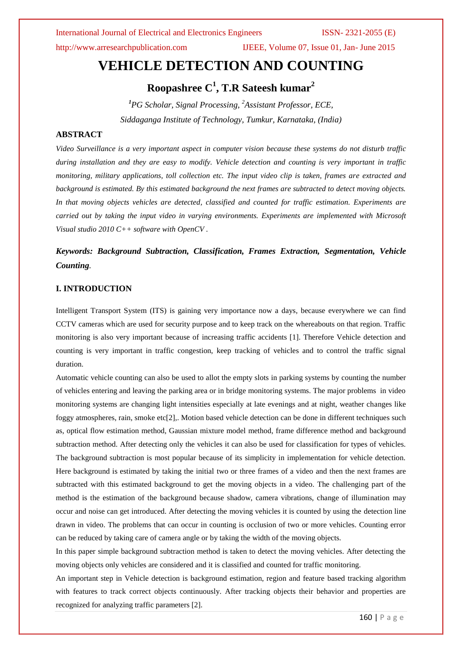http://www.arresearchpublication.com IJEEE, Volume 07, Issue 01, Jan- June 2015

# **VEHICLE DETECTION AND COUNTING**

**Roopashree C<sup>1</sup> , T.R Sateesh kumar<sup>2</sup>**

*<sup>1</sup>PG Scholar, Signal Processing, <sup>2</sup>Assistant Professor, ECE, Siddaganga Institute of Technology, Tumkur, Karnataka, (India)*

# **ABSTRACT**

*Video Surveillance is a very important aspect in computer vision because these systems do not disturb traffic during installation and they are easy to modify. Vehicle detection and counting is very important in traffic monitoring, military applications, toll collection etc. The input video clip is taken, frames are extracted and background is estimated. By this estimated background the next frames are subtracted to detect moving objects. In that moving objects vehicles are detected, classified and counted for traffic estimation. Experiments are carried out by taking the input video in varying environments. Experiments are implemented with Microsoft Visual studio 2010 C++ software with OpenCV .*

# *Keywords: Background Subtraction, Classification, Frames Extraction, Segmentation, Vehicle Counting.*

# **I. INTRODUCTION**

Intelligent Transport System (ITS) is gaining very importance now a days, because everywhere we can find CCTV cameras which are used for security purpose and to keep track on the whereabouts on that region. Traffic monitoring is also very important because of increasing traffic accidents [1]. Therefore Vehicle detection and counting is very important in traffic congestion, keep tracking of vehicles and to control the traffic signal duration.

Automatic vehicle counting can also be used to allot the empty slots in parking systems by counting the number of vehicles entering and leaving the parking area or in bridge monitoring systems. The major problems in video monitoring systems are changing light intensities especially at late evenings and at night, weather changes like foggy atmospheres, rain, smoke etc[2],. Motion based vehicle detection can be done in different techniques such as, optical flow estimation method, Gaussian mixture model method, frame difference method and background subtraction method. After detecting only the vehicles it can also be used for classification for types of vehicles. The background subtraction is most popular because of its simplicity in implementation for vehicle detection. Here background is estimated by taking the initial two or three frames of a video and then the next frames are subtracted with this estimated background to get the moving objects in a video. The challenging part of the method is the estimation of the background because shadow, camera vibrations, change of illumination may occur and noise can get introduced. After detecting the moving vehicles it is counted by using the detection line drawn in video. The problems that can occur in counting is occlusion of two or more vehicles. Counting error can be reduced by taking care of camera angle or by taking the width of the moving objects.

In this paper simple background subtraction method is taken to detect the moving vehicles. After detecting the moving objects only vehicles are considered and it is classified and counted for traffic monitoring.

An important step in Vehicle detection is background estimation, region and feature based tracking algorithm with features to track correct objects continuously. After tracking objects their behavior and properties are recognized for analyzing traffic parameters [2].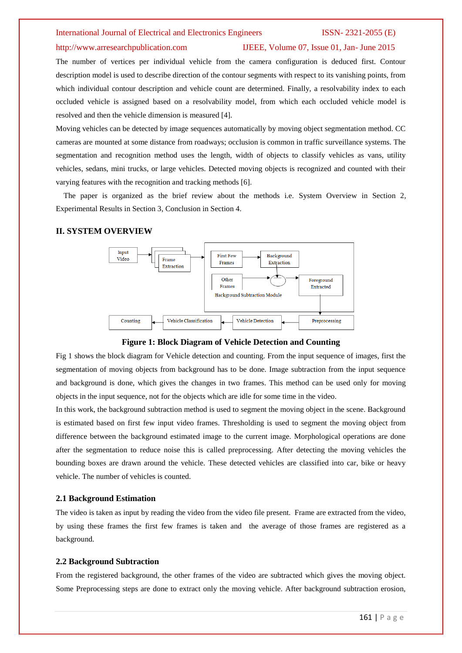### http://www.arresearchpublication.com IJEEE, Volume 07, Issue 01, Jan- June 2015

The number of vertices per individual vehicle from the camera configuration is deduced first. Contour description model is used to describe direction of the contour segments with respect to its vanishing points, from which individual contour description and vehicle count are determined. Finally, a resolvability index to each occluded vehicle is assigned based on a resolvability model, from which each occluded vehicle model is resolved and then the vehicle dimension is measured [4].

Moving vehicles can be detected by image sequences automatically by moving object segmentation method. CC cameras are mounted at some distance from roadways; occlusion is common in traffic surveillance systems. The segmentation and recognition method uses the length, width of objects to classify vehicles as vans, utility vehicles, sedans, mini trucks, or large vehicles. Detected moving objects is recognized and counted with their varying features with the recognition and tracking methods [6].

 The paper is organized as the brief review about the methods i.e. System Overview in Section 2, Experimental Results in Section 3, Conclusion in Section 4.

### **II. SYSTEM OVERVIEW**



**Figure 1: Block Diagram of Vehicle Detection and Counting**

Fig 1 shows the block diagram for Vehicle detection and counting. From the input sequence of images, first the segmentation of moving objects from background has to be done. Image subtraction from the input sequence and background is done, which gives the changes in two frames. This method can be used only for moving objects in the input sequence, not for the objects which are idle for some time in the video.

In this work, the background subtraction method is used to segment the moving object in the scene. Background is estimated based on first few input video frames. Thresholding is used to segment the moving object from difference between the background estimated image to the current image. Morphological operations are done after the segmentation to reduce noise this is called preprocessing. After detecting the moving vehicles the bounding boxes are drawn around the vehicle. These detected vehicles are classified into car, bike or heavy vehicle. The number of vehicles is counted.

### **2.1 Background Estimation**

The video is taken as input by reading the video from the video file present. Frame are extracted from the video, by using these frames the first few frames is taken and the average of those frames are registered as a background.

### **2.2 Background Subtraction**

From the registered background, the other frames of the video are subtracted which gives the moving object. Some Preprocessing steps are done to extract only the moving vehicle. After background subtraction erosion,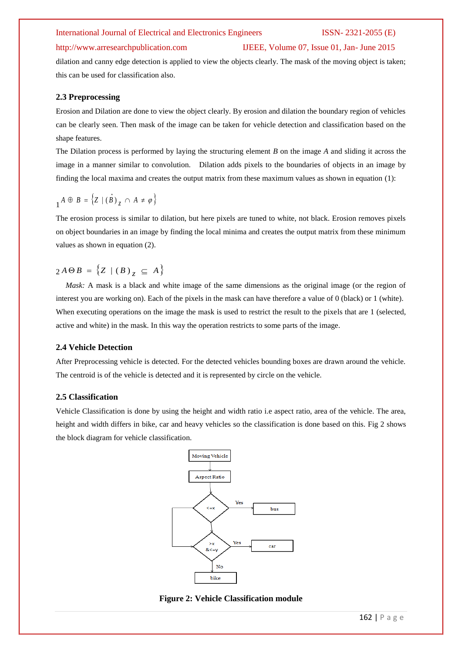### http://www.arresearchpublication.com IJEEE, Volume 07, Issue 01, Jan- June 2015

dilation and canny edge detection is applied to view the objects clearly. The mask of the moving object is taken; this can be used for classification also.

# **2.3 Preprocessing**

Erosion and Dilation are done to view the object clearly. By erosion and dilation the boundary region of vehicles can be clearly seen. Then mask of the image can be taken for vehicle detection and classification based on the shape features.

The Dilation process is performed by laying the structuring element *B* on the image *A* and sliding it across the image in a manner similar to convolution. Dilation adds pixels to the boundaries of objects in an image by finding the local maxima and creates the output matrix from these maximum values as shown in equation (1):

$$
{}_1A\,\oplus\, B\,=\,\Big\{Z\mid(\,\hat{B}\,)\,{}_{\cal Z}\,\cap\, A\,\neq\,\varphi\,\Big\}
$$

The erosion process is similar to dilation, but here pixels are tuned to white, not black. Erosion removes pixels on object boundaries in an image by finding the local minima and creates the output matrix from these minimum values as shown in equation (2).

$$
2 A \Theta B = \left\{ Z \mid (B)_{Z} \subseteq A \right\}
$$

*Mask:* A mask is a black and white image of the same dimensions as the original image (or the region of interest you are working on). Each of the pixels in the mask can have therefore a value of 0 (black) or 1 (white). When executing operations on the image the mask is used to restrict the result to the pixels that are 1 (selected, active and white) in the mask. In this way the operation restricts to some parts of the image.

# **2.4 Vehicle Detection**

After Preprocessing vehicle is detected. For the detected vehicles bounding boxes are drawn around the vehicle. The centroid is of the vehicle is detected and it is represented by circle on the vehicle.

## **2.5 Classification**

Vehicle Classification is done by using the height and width ratio i.e aspect ratio, area of the vehicle. The area, height and width differs in bike, car and heavy vehicles so the classification is done based on this. Fig 2 shows the block diagram for vehicle classification.



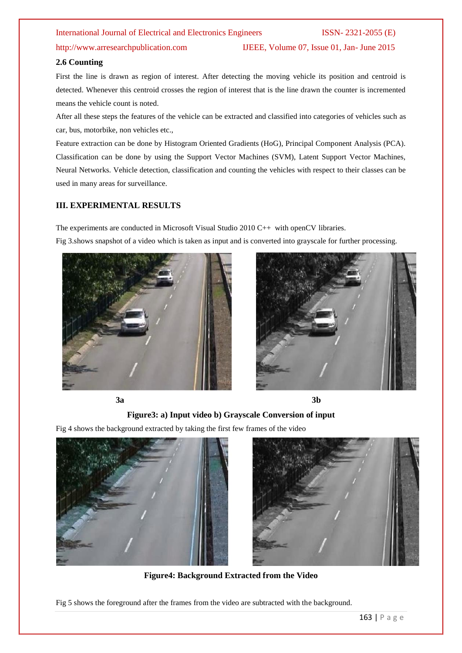http://www.arresearchpublication.com IJEEE, Volume 07, Issue 01, Jan- June 2015

### **2.6 Counting**

First the line is drawn as region of interest. After detecting the moving vehicle its position and centroid is detected. Whenever this centroid crosses the region of interest that is the line drawn the counter is incremented means the vehicle count is noted.

After all these steps the features of the vehicle can be extracted and classified into categories of vehicles such as car, bus, motorbike, non vehicles etc.,

Feature extraction can be done by Histogram Oriented Gradients (HoG), Principal Component Analysis (PCA). Classification can be done by using the Support Vector Machines (SVM), Latent Support Vector Machines, Neural Networks. Vehicle detection, classification and counting the vehicles with respect to their classes can be used in many areas for surveillance.

# **III. EXPERIMENTAL RESULTS**

The experiments are conducted in Microsoft Visual Studio 2010 C++ with openCV libraries. Fig 3.shows snapshot of a video which is taken as input and is converted into grayscale for further processing.





**3a** 3b



## **Figure3: a) Input video b) Grayscale Conversion of input**

Fig 4 shows the background extracted by taking the first few frames of the video





**Figure4: Background Extracted from the Video**

Fig 5 shows the foreground after the frames from the video are subtracted with the background.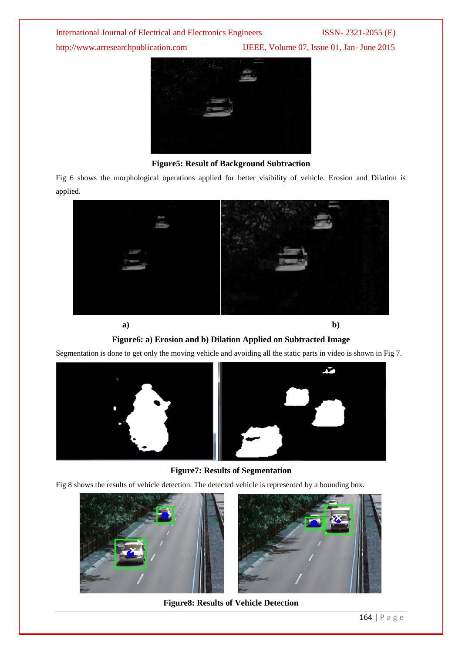http://www.arresearchpublication.com IJEEE, Volume 07, Issue 01, Jan- June 2015



**Figure5: Result of Background Subtraction**

Fig 6 shows the morphological operations applied for better visibility of vehicle. Erosion and Dilation is applied.



**a) b)**

**Figure6: a) Erosion and b) Dilation Applied on Subtracted Image**

Segmentation is done to get only the moving vehicle and avoiding all the static parts in video is shown in Fig 7.



**Figure7: Results of Segmentation**

Fig 8 shows the results of vehicle detection. The detected vehicle is represented by a bounding box.





**Figure8: Results of Vehicle Detection**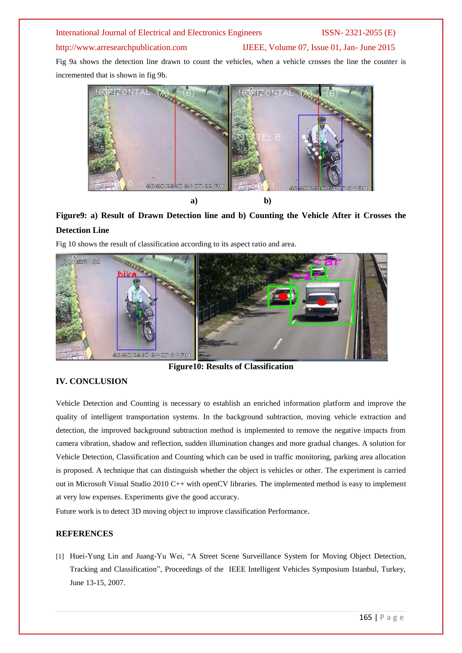# http://www.arresearchpublication.com IJEEE, Volume 07, Issue 01, Jan- June 2015

Fig 9a shows the detection line drawn to count the vehicles, when a vehicle crosses the line the counter is incremented that is shown in fig 9b.



# **Figure9: a) Result of Drawn Detection line and b) Counting the Vehicle After it Crosses the Detection Line**

Fig 10 shows the result of classification according to its aspect ratio and area.



**Figure10: Results of Classification**

# **IV. CONCLUSION**

Vehicle Detection and Counting is necessary to establish an enriched information platform and improve the quality of intelligent transportation systems. In the background subtraction, moving vehicle extraction and detection, the improved background subtraction method is implemented to remove the negative impacts from camera vibration, shadow and reflection, sudden illumination changes and more gradual changes. A solution for Vehicle Detection, Classification and Counting which can be used in traffic monitoring, parking area allocation is proposed. A technique that can distinguish whether the object is vehicles or other. The experiment is carried out in Microsoft Visual Studio 2010 C++ with openCV libraries. The implemented method is easy to implement at very low expenses. Experiments give the good accuracy.

Future work is to detect 3D moving object to improve classification Performance.

# **REFERENCES**

[1] Huei-Yung Lin and Juang-Yu Wei, "A Street Scene Surveillance System for Moving Object Detection, Tracking and Classification", Proceedings of the IEEE Intelligent Vehicles Symposium Istanbul, Turkey, June 13-15, 2007.